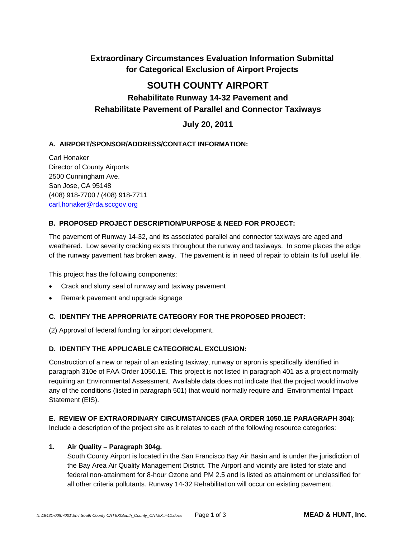## **Extraordinary Circumstances Evaluation Information Submittal for Categorical Exclusion of Airport Projects**

# **SOUTH COUNTY AIRPORT**

# **Rehabilitate Runway 14-32 Pavement and Rehabilitate Pavement of Parallel and Connector Taxiways**

## **July 20, 2011**

## **A. AIRPORT/SPONSOR/ADDRESS/CONTACT INFORMATION:**

Carl Honaker Director of County Airports 2500 Cunningham Ave. San Jose, CA 95148 (408) 918-7700 / (408) 918-7711 carl.honaker@rda.sccgov.org

### **B. PROPOSED PROJECT DESCRIPTION/PURPOSE & NEED FOR PROJECT:**

The pavement of Runway 14-32, and its associated parallel and connector taxiways are aged and weathered. Low severity cracking exists throughout the runway and taxiways. In some places the edge of the runway pavement has broken away. The pavement is in need of repair to obtain its full useful life.

This project has the following components:

- Crack and slurry seal of runway and taxiway pavement
- Remark pavement and upgrade signage

### **C. IDENTIFY THE APPROPRIATE CATEGORY FOR THE PROPOSED PROJECT:**

(2) Approval of federal funding for airport development.

#### **D. IDENTIFY THE APPLICABLE CATEGORICAL EXCLUSION:**

Construction of a new or repair of an existing taxiway, runway or apron is specifically identified in paragraph 310e of FAA Order 1050.1E. This project is not listed in paragraph 401 as a project normally requiring an Environmental Assessment. Available data does not indicate that the project would involve any of the conditions (listed in paragraph 501) that would normally require and Environmental Impact Statement (EIS).

#### **E. REVIEW OF EXTRAORDINARY CIRCUMSTANCES (FAA ORDER 1050.1E PARAGRAPH 304):**

Include a description of the project site as it relates to each of the following resource categories:

#### **1. Air Quality – Paragraph 304g.**

 South County Airport is located in the San Francisco Bay Air Basin and is under the jurisdiction of the Bay Area Air Quality Management District. The Airport and vicinity are listed for state and federal non-attainment for 8-hour Ozone and PM 2.5 and is listed as attainment or unclassified for all other criteria pollutants. Runway 14-32 Rehabilitation will occur on existing pavement.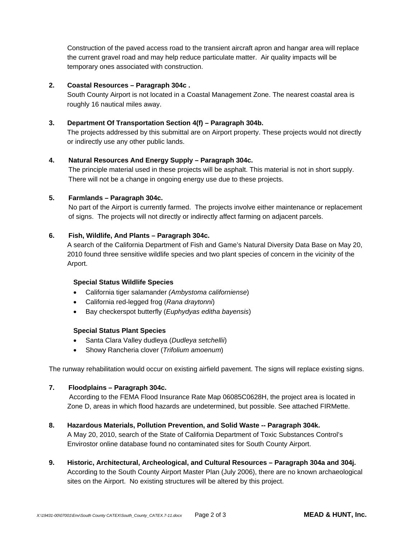Construction of the paved access road to the transient aircraft apron and hangar area will replace the current gravel road and may help reduce particulate matter. Air quality impacts will be temporary ones associated with construction.

#### **2. Coastal Resources – Paragraph 304c .**

South County Airport is not located in a Coastal Management Zone. The nearest coastal area is roughly 16 nautical miles away.

#### **3. Department Of Transportation Section 4(f) – Paragraph 304b.**

The projects addressed by this submittal are on Airport property. These projects would not directly or indirectly use any other public lands.

#### **4. Natural Resources And Energy Supply – Paragraph 304c.**

The principle material used in these projects will be asphalt. This material is not in short supply. There will not be a change in ongoing energy use due to these projects.

#### **5. Farmlands – Paragraph 304c.**

No part of the Airport is currently farmed. The projects involve either maintenance or replacement of signs. The projects will not directly or indirectly affect farming on adjacent parcels.

#### **6. Fish, Wildlife, And Plants – Paragraph 304c.**

 A search of the California Department of Fish and Game's Natural Diversity Data Base on May 20, 2010 found three sensitive wildlife species and two plant species of concern in the vicinity of the Arport.

#### **Special Status Wildlife Species**

- California tiger salamander *(Ambystoma californiense*)
- California red-legged frog (*Rana draytonni*)
- Bay checkerspot butterfly (*Euphydyas editha bayensis*)

#### **Special Status Plant Species**

- Santa Clara Valley dudleya (*Dudleya setchellii*)
- Showy Rancheria clover (*Trifolium amoenum*)

The runway rehabilitation would occur on existing airfield pavement. The signs will replace existing signs.

#### **7. Floodplains – Paragraph 304c.**

 According to the FEMA Flood Insurance Rate Map 06085C0628H, the project area is located in Zone D, areas in which flood hazards are undetermined, but possible. See attached FIRMette.

#### **8. Hazardous Materials, Pollution Prevention, and Solid Waste -- Paragraph 304k.**

A May 20, 2010, search of the State of California Department of Toxic Substances Control's Envirostor online database found no contaminated sites for South County Airport.

**9. Historic, Architectural, Archeological, and Cultural Resources – Paragraph 304a and 304j.**  According to the South County Airport Master Plan (July 2006), there are no known archaeological sites on the Airport. No existing structures will be altered by this project.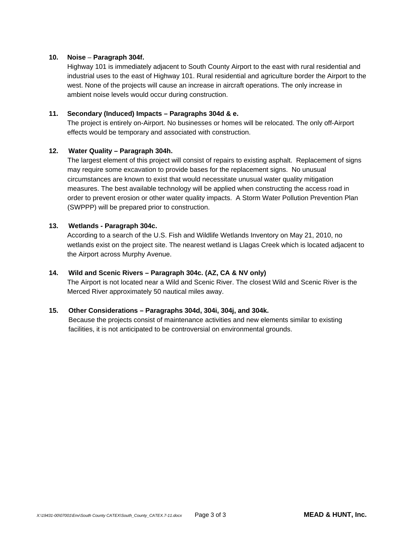#### **10. Noise** – **Paragraph 304f.**

Highway 101 is immediately adjacent to South County Airport to the east with rural residential and industrial uses to the east of Highway 101. Rural residential and agriculture border the Airport to the west. None of the projects will cause an increase in aircraft operations. The only increase in ambient noise levels would occur during construction.

#### **11. Secondary (Induced) Impacts – Paragraphs 304d & e.**

The project is entirely on-Airport. No businesses or homes will be relocated. The only off-Airport effects would be temporary and associated with construction.

#### **12. Water Quality – Paragraph 304h.**

The largest element of this project will consist of repairs to existing asphalt. Replacement of signs may require some excavation to provide bases for the replacement signs. No unusual circumstances are known to exist that would necessitate unusual water quality mitigation measures. The best available technology will be applied when constructing the access road in order to prevent erosion or other water quality impacts. A Storm Water Pollution Prevention Plan (SWPPP) will be prepared prior to construction.

#### **13. Wetlands - Paragraph 304c.**

According to a search of the U.S. Fish and Wildlife Wetlands Inventory on May 21, 2010, no wetlands exist on the project site. The nearest wetland is Llagas Creek which is located adjacent to the Airport across Murphy Avenue.

#### **14. Wild and Scenic Rivers – Paragraph 304c. (AZ, CA & NV only)**

The Airport is not located near a Wild and Scenic River. The closest Wild and Scenic River is the Merced River approximately 50 nautical miles away.

#### **15. Other Considerations – Paragraphs 304d, 304i, 304j, and 304k.**

Because the projects consist of maintenance activities and new elements similar to existing facilities, it is not anticipated to be controversial on environmental grounds.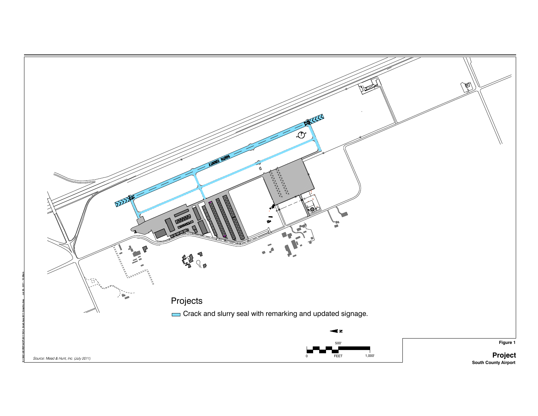